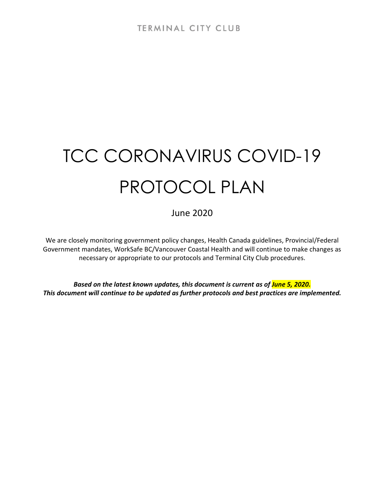# TCC CORONAVIRUS COVID-19 PROTOCOL PLAN

June 2020

We are closely monitoring government policy changes, Health Canada guidelines, Provincial/Federal Government mandates, WorkSafe BC/Vancouver Coastal Health and will continue to make changes as necessary or appropriate to our protocols and Terminal City Club procedures.

*Based on the latest known updates, this document is current as of June 5, 2020. This document will continue to be updated as further protocols and best practices are implemented.*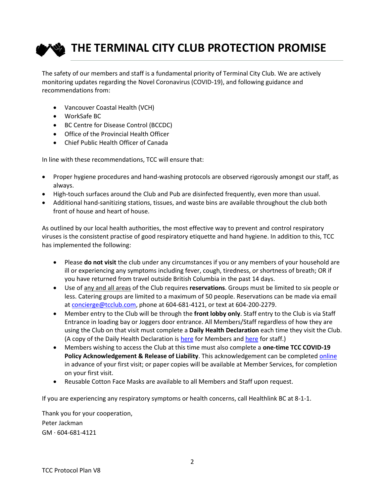

The safety of our members and staff is a fundamental priority of Terminal City Club. We are actively monitoring updates regarding the Novel Coronavirus (COVID-19), and following guidance and recommendations from:

- Vancouver Coastal Health (VCH)
- WorkSafe BC
- BC Centre for Disease Control (BCCDC)
- Office of the Provincial Health Officer
- Chief Public Health Officer of Canada

In line with these recommendations, TCC will ensure that:

- Proper hygiene procedures and hand-washing protocols are observed rigorously amongst our staff, as always.
- High-touch surfaces around the Club and Pub are disinfected frequently, even more than usual.
- Additional hand-sanitizing stations, tissues, and waste bins are available throughout the club both front of house and heart of house.

As outlined by our local health authorities, the most effective way to prevent and control respiratory viruses is the consistent practise of good respiratory etiquette and hand hygiene. In addition to this, TCC has implemented the following:

- Please **do not visit** the club under any circumstances if you or any members of your household are ill or experiencing any symptoms including fever, cough, tiredness, or shortness of breath; OR if you have returned from travel outside British Columbia in the past 14 days.
- Use of any and all areas of the Club requires **reservations**. Groups must be limited to six people or less. Catering groups are limited to a maximum of 50 people. Reservations can be made via email at [concierge@tcclub.com,](mailto:concierge@tcclub.com) phone at 604-681-4121, or text at 604-200-2279.
- Member entry to the Club will be through the **front lobby only**. Staff entry to the Club is via Staff Entrance in loading bay or Joggers door entrance. All Members/Staff regardless of how they are using the Club on that visit must complete a **Daily Health Declaration** each time they visit the Club. (A copy of the Daily Health Declaration is [here](http://media.clubhouseonline-e3.com/media/53/538015/TCC%20COVID-19%20Daily%20Member%20Health%20Declaration.pdf) for Members and [here](http://tcclub.clubhouseonline-e3.com/getmedia/a6e030f2-ac4b-4859-a80c-519bb7a9f0f5/COVID_-19_Employee_Daily_Health_Declaration.aspx) for staff.)
- Members wishing to access the Club at this time must also complete a **one-time TCC COVID-19 Policy Acknowledgement & Release of Liability**. This acknowledgement can be complete[d online](http://media.clubhouseonline-e3.com/media/53/538015/TCC%20COVID-19%20Policy%20Acknowledgement%20_%20Release%20.pdf) in advance of your first visit; or paper copies will be available at Member Services, for completion on your first visit.
- Reusable Cotton Face Masks are available to all Members and Staff upon request.

If you are experiencing any respiratory symptoms or health concerns, call Healthlink BC at 8-1-1.

Thank you for your cooperation, Peter Jackman GM · 604-681-4121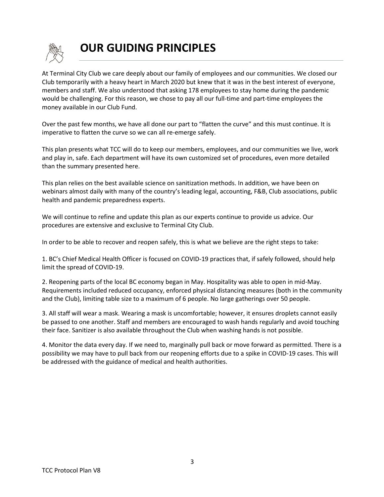

# **OUR GUIDING PRINCIPLES**

At Terminal City Club we care deeply about our family of employees and our communities. We closed our Club temporarily with a heavy heart in March 2020 but knew that it was in the best interest of everyone, members and staff. We also understood that asking 178 employees to stay home during the pandemic would be challenging. For this reason, we chose to pay all our full-time and part-time employees the money available in our Club Fund.

Over the past few months, we have all done our part to "flatten the curve" and this must continue. It is imperative to flatten the curve so we can all re-emerge safely.

This plan presents what TCC will do to keep our members, employees, and our communities we live, work and play in, safe. Each department will have its own customized set of procedures, even more detailed than the summary presented here.

This plan relies on the best available science on sanitization methods. In addition, we have been on webinars almost daily with many of the country's leading legal, accounting, F&B, Club associations, public health and pandemic preparedness experts.

We will continue to refine and update this plan as our experts continue to provide us advice. Our procedures are extensive and exclusive to Terminal City Club.

In order to be able to recover and reopen safely, this is what we believe are the right steps to take:

1. BC's Chief Medical Health Officer is focused on COVID-19 practices that, if safely followed, should help limit the spread of COVID-19.

2. Reopening parts of the local BC economy began in May. Hospitality was able to open in mid-May. Requirements included reduced occupancy, enforced physical distancing measures (both in the community and the Club), limiting table size to a maximum of 6 people. No large gatherings over 50 people.

3. All staff will wear a mask. Wearing a mask is uncomfortable; however, it ensures droplets cannot easily be passed to one another. Staff and members are encouraged to wash hands regularly and avoid touching their face. Sanitizer is also available throughout the Club when washing hands is not possible.

4. Monitor the data every day. If we need to, marginally pull back or move forward as permitted. There is a possibility we may have to pull back from our reopening efforts due to a spike in COVID-19 cases. This will be addressed with the guidance of medical and health authorities.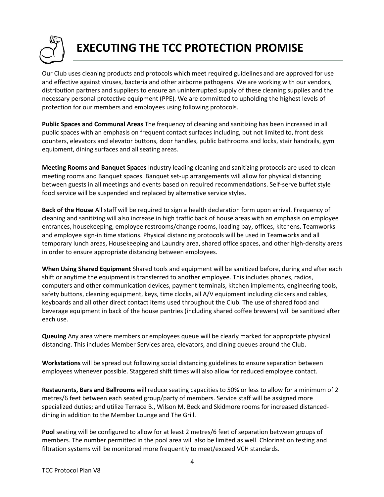

# **EXECUTING THE TCC PROTECTION PROMISE**

Our Club uses cleaning products and protocols which meet required guidelines and are approved for use and effective against viruses, bacteria and other airborne pathogens. We are working with our vendors, distribution partners and suppliers to ensure an uninterrupted supply of these cleaning supplies and the necessary personal protective equipment (PPE). We are committed to upholding the highest levels of protection for our members and employees using following protocols.

**Public Spaces and Communal Areas** The frequency of cleaning and sanitizing has been increased in all public spaces with an emphasis on frequent contact surfaces including, but not limited to, front desk counters, elevators and elevator buttons, door handles, public bathrooms and locks, stair handrails, gym equipment, dining surfaces and all seating areas.

**Meeting Rooms and Banquet Spaces** Industry leading cleaning and sanitizing protocols are used to clean meeting rooms and Banquet spaces. Banquet set-up arrangements will allow for physical distancing between guests in all meetings and events based on required recommendations. Self-serve buffet style food service will be suspended and replaced by alternative service styles.

**Back of the House** All staff will be required to sign a health declaration form upon arrival. Frequency of cleaning and sanitizing will also increase in high traffic back of house areas with an emphasis on employee entrances, housekeeping, employee restrooms/change rooms, loading bay, offices, kitchens, Teamworks and employee sign-in time stations. Physical distancing protocols will be used in Teamworks and all temporary lunch areas, Housekeeping and Laundry area, shared office spaces, and other high-density areas in order to ensure appropriate distancing between employees.

**When Using Shared Equipment** Shared tools and equipment will be sanitized before, during and after each shift or anytime the equipment is transferred to another employee. This includes phones, radios, computers and other communication devices, payment terminals, kitchen implements, engineering tools, safety buttons, cleaning equipment, keys, time clocks, all A/V equipment including clickers and cables, keyboards and all other direct contact items used throughout the Club. The use of shared food and beverage equipment in back of the house pantries (including shared coffee brewers) will be sanitized after each use.

**Queuing** Any area where members or employees queue will be clearly marked for appropriate physical distancing. This includes Member Services area, elevators, and dining queues around the Club.

**Workstations** will be spread out following social distancing guidelines to ensure separation between employees whenever possible. Staggered shift times will also allow for reduced employee contact.

**Restaurants, Bars and Ballrooms** will reduce seating capacities to 50% or less to allow for a minimum of 2 metres/6 feet between each seated group/party of members. Service staff will be assigned more specialized duties; and utilize Terrace B., Wilson M. Beck and Skidmore rooms for increased distanceddining in addition to the Member Lounge and The Grill.

**Pool** seating will be configured to allow for at least 2 metres/6 feet of separation between groups of members. The number permitted in the pool area will also be limited as well. Chlorination testing and filtration systems will be monitored more frequently to meet/exceed VCH standards.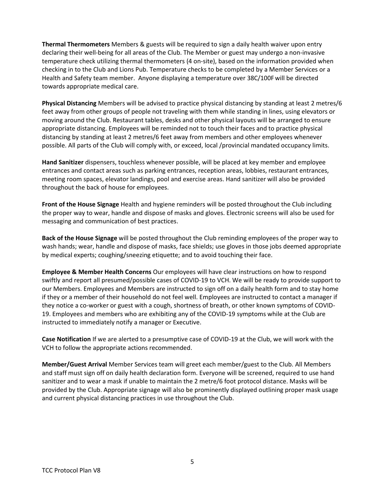**Thermal Thermometers** Members & guests will be required to sign a daily health waiver upon entry declaring their well-being for all areas of the Club. The Member or guest may undergo a non-invasive temperature check utilizing thermal thermometers (4 on-site), based on the information provided when checking in to the Club and Lions Pub. Temperature checks to be completed by a Member Services or a Health and Safety team member. Anyone displaying a temperature over 38C/100Fwill be directed towards appropriate medical care.

**Physical Distancing** Members will be advised to practice physical distancing by standing at least 2 metres/6 feet away from other groups of people not traveling with them while standing in lines, using elevators or moving around the Club. Restaurant tables, desks and other physical layouts will be arranged to ensure appropriate distancing. Employees will be reminded not to touch their faces and to practice physical distancing by standing at least 2 metres/6 feet away from members and other employees whenever possible. All parts of the Club will comply with, or exceed, local /provincial mandated occupancy limits.

**Hand Sanitizer** dispensers, touchless whenever possible, will be placed at key member and employee entrances and contact areas such as parking entrances, reception areas, lobbies, restaurant entrances, meeting room spaces, elevator landings, pool and exercise areas. Hand sanitizer will also be provided throughout the back of house for employees.

**Front of the House Signage** Health and hygiene reminders will be posted throughout the Club including the proper way to wear, handle and dispose of masks and gloves. Electronic screens will also be used for messaging and communication of best practices.

**Back of the House Signage** will be posted throughout the Club reminding employees of the proper way to wash hands; wear, handle and dispose of masks, face shields; use gloves in those jobs deemed appropriate by medical experts; coughing/sneezing etiquette; and to avoid touching their face.

**Employee & Member Health Concerns** Our employees will have clear instructions on how to respond swiftly and report all presumed/possible cases of COVID-19 to VCH. We will be ready to provide support to our Members. Employees and Members are instructed to sign off on a daily health form and to stay home if they or a member of their household do not feel well. Employees are instructed to contact a manager if they notice a co-worker or guest with a cough, shortness of breath, or other known symptoms of COVID-19. Employees and members who are exhibiting any of the COVID-19 symptoms while at the Club are instructed to immediately notify a manager or Executive.

**Case Notification** If we are alerted to a presumptive case of COVID-19 at the Club, we will work with the VCH to follow the appropriate actions recommended.

**Member/Guest Arrival** Member Services team will greet each member/guest to the Club. All Members and staff must sign off on daily health declaration form. Everyone will be screened, required to use hand sanitizer and to wear a mask if unable to maintain the 2 metre/6 foot protocol distance. Masks will be provided by the Club. Appropriate signage will also be prominently displayed outlining proper mask usage and current physical distancing practices in use throughout the Club.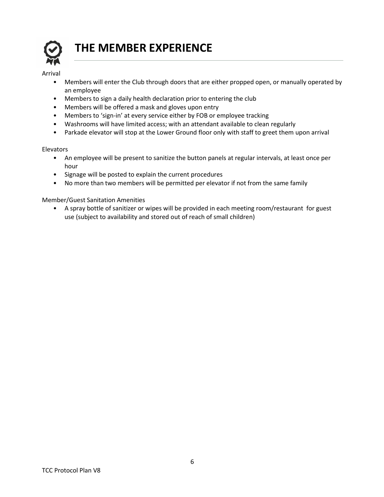

# **THE MEMBER EXPERIENCE**

#### Arrival

- Members will enter the Club through doors that are either propped open, or manually operated by an employee
- Members to sign a daily health declaration prior to entering the club
- Members will be offered a mask and gloves upon entry
- Members to 'sign-in' at every service either by FOB or employee tracking
- Washrooms will have limited access; with an attendant available to clean regularly
- Parkade elevator will stop at the Lower Ground floor only with staff to greet them upon arrival

#### Elevators

- An employee will be present to sanitize the button panels at regular intervals, at least once per hour
- Signage will be posted to explain the current procedures
- No more than two members will be permitted per elevator if not from the same family

#### Member/Guest Sanitation Amenities

• A spray bottle of sanitizer or wipes will be provided in each meeting room/restaurant for guest use (subject to availability and stored out of reach of small children)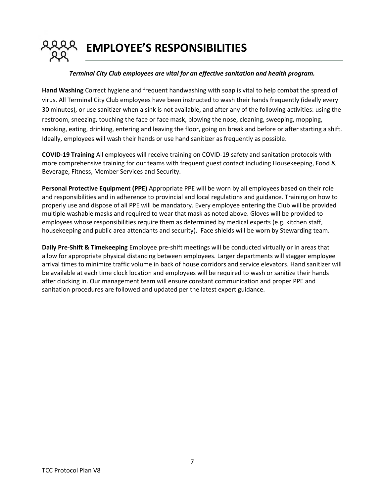**EMPLOYEE'S RESPONSIBILITIES**

#### *Terminal City Club employees are vital for an effective sanitation and health program.*

**Hand Washing** Correct hygiene and frequent handwashing with soap is vital to help combat the spread of virus. All Terminal City Club employees have been instructed to wash their hands frequently (ideally every 30 minutes), or use sanitizer when a sink is not available, and after any of the following activities: using the restroom, sneezing, touching the face or face mask, blowing the nose, cleaning, sweeping, mopping, smoking, eating, drinking, entering and leaving the floor, going on break and before or after starting a shift. Ideally, employees will wash their hands or use hand sanitizer as frequently as possible.

**COVID-19 Training** All employees will receive training on COVID-19 safety and sanitation protocols with more comprehensive training for our teams with frequent guest contact including Housekeeping, Food & Beverage, Fitness, Member Services and Security.

**Personal Protective Equipment (PPE)** Appropriate PPE will be worn by all employees based on their role and responsibilities and in adherence to provincial and local regulations and guidance. Training on how to properly use and dispose of all PPE will be mandatory. Every employee entering the Club will be provided multiple washable masks and required to wear that mask as noted above. Gloves will be provided to employees whose responsibilities require them as determined by medical experts (e.g. kitchen staff, housekeeping and public area attendants and security). Face shields will be worn by Stewarding team.

**Daily Pre-Shift & Timekeeping** Employee pre-shift meetings will be conducted virtually or in areas that allow for appropriate physical distancing between employees. Larger departments will stagger employee arrival times to minimize traffic volume in back of house corridors and service elevators. Hand sanitizer will be available at each time clock location and employees will be required to wash or sanitize their hands after clocking in. Our management team will ensure constant communication and proper PPE and sanitation procedures are followed and updated per the latest expert guidance.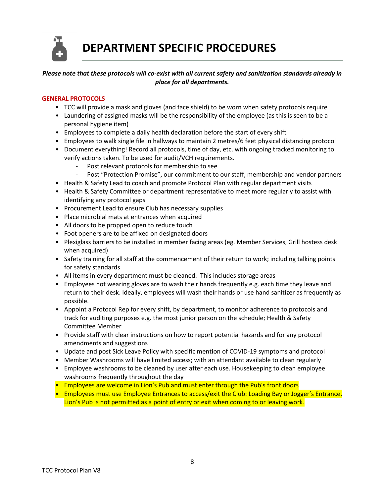**DEPARTMENT SPECIFIC PROCEDURES**

# *Please note that these protocols will co-exist with all current safety and sanitization standards already in place for all departments.*

#### **GENERAL PROTOCOLS**

- TCC will provide a mask and gloves (and face shield) to be worn when safety protocols require
- Laundering of assigned masks will be the responsibility of the employee (as this is seen to be a personal hygiene item)
- Employees to complete a daily health declaration before the start of every shift
- Employees to walk single file in hallways to maintain 2 metres/6 feet physical distancing protocol
- Document everything! Record all protocols, time of day, etc. with ongoing tracked monitoring to verify actions taken. To be used for audit/VCH requirements.
	- Post relevant protocols for membership to see
	- Post "Protection Promise", our commitment to our staff, membership and vendor partners
- Health & Safety Lead to coach and promote Protocol Plan with regular department visits
- Health & Safety Committee or department representative to meet more regularly to assist with identifying any protocol gaps
- Procurement Lead to ensure Club has necessary supplies
- Place microbial mats at entrances when acquired
- All doors to be propped open to reduce touch
- Foot openers are to be affixed on designated doors
- Plexiglass barriers to be installed in member facing areas (eg. Member Services, Grill hostess desk when acquired)
- Safety training for all staff at the commencement of their return to work; including talking points for safety standards
- All items in every department must be cleaned. This includes storage areas
- Employees not wearing gloves are to wash their hands frequently e.g. each time they leave and return to their desk. Ideally, employees will wash their hands or use hand sanitizer as frequently as possible.
- Appoint a Protocol Rep for every shift, by department, to monitor adherence to protocols and track for auditing purposes e.g. the most junior person on the schedule; Health & Safety Committee Member
- Provide staff with clear instructions on how to report potential hazards and for any protocol amendments and suggestions
- Update and post Sick Leave Policy with specific mention of COVID-19 symptoms and protocol
- Member Washrooms will have limited access; with an attendant available to clean regularly
- Employee washrooms to be cleaned by user after each use. Housekeeping to clean employee washrooms frequently throughout the day
- Employees are welcome in Lion's Pub and must enter through the Pub's front doors
- Employees must use Employee Entrances to access/exit the Club: Loading Bay or Jogger's Entrance. Lion's Pub is not permitted as a point of entry or exit when coming to or leaving work.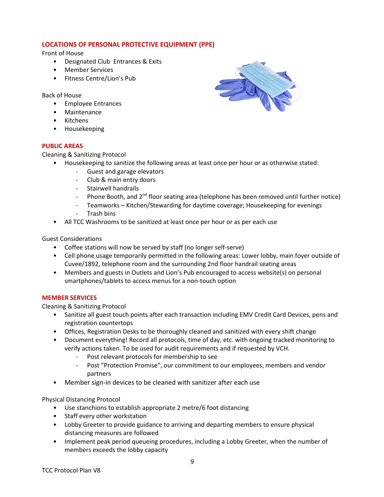# **LOCATIONS OF PERSONAL PROTECTIVE EQUIPMENT (PPE)**

Front of House

- Designated Club Entrances & Exits
- Member Services
- Fitness Centre/Lion's Pub

Back of House

- Employee Entrances
- Maintenance
- Kitchens
- Housekeeping

## **PUBLIC AREAS**

Cleaning & Sanitizing Protocol

- Housekeeping to sanitize the following areas at least once per hour or as otherwise stated:
	- Guest and garage elevators
	- Club & main entry doors
	- Stairwell handrails
	- Phone Booth, and 2<sup>nd</sup> floor seating area (telephone has been removed until further notice)
	- Teamworks Kitchen/Stewarding for daytime coverage; Housekeeping for evenings
	- Trash bins
- All TCC Washrooms to be sanitized at least once per hour or as per each use

## Guest Considerations

- Coffee stations will now be served by staff (no longer self-serve)
- Cell phone usage temporarily permitted in the following areas: Lower lobby, main foyer outside of Cuvee/1892, telephone room and the surrounding 2nd floor handrail seating areas
- Members and guests in Outlets and Lion's Pub encouraged to access website(s) on personal smartphones/tablets to access menus for a non-touch option

#### **MEMBER SERVICES**

Cleaning & Sanitizing Protocol

- Sanitize all guest touch points after each transaction including EMV Credit Card Devices, pens and registration countertops
- Offices, Registration Desks to be thoroughly cleaned and sanitized with every shift change
- Document everything! Record all protocols, time of day, etc. with ongoing tracked monitoring to verify actions taken. To be used for audit requirements and if requested by VCH.
	- Post relevant protocols for membership to see
	- Post "Protection Promise", our commitment to our employees, members and vendor partners
- Member sign-in devices to be cleaned with sanitizer after each use

#### Physical Distancing Protocol

- Use stanchions to establish appropriate 2 metre/6 foot distancing
- Staff every other workstation
- Lobby Greeter to provide guidance to arriving and departing members to ensure physical distancing measures are followed
- Implement peak period queueing procedures, including a Lobby Greeter, when the number of members exceeds the lobby capacity

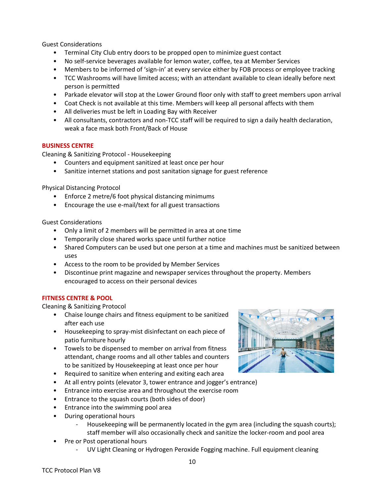Guest Considerations

- Terminal City Club entry doors to be propped open to minimize guest contact
- No self-service beverages available for lemon water, coffee, tea at Member Services
- Members to be informed of 'sign-in' at every service either by FOB process or employee tracking
- TCC Washrooms will have limited access; with an attendant available to clean ideally before next person is permitted
- Parkade elevator will stop at the Lower Ground floor only with staff to greet members upon arrival
- Coat Check is not available at this time. Members will keep all personal affects with them
- All deliveries must be left in Loading Bay with Receiver
- All consultants, contractors and non-TCC staff will be required to sign a daily health declaration, weak a face mask both Front/Back of House

#### **BUSINESS CENTRE**

Cleaning & Sanitizing Protocol - Housekeeping

- Counters and equipment sanitized at least once per hour
- Sanitize internet stations and post sanitation signage for guest reference

Physical Distancing Protocol

- Enforce 2 metre/6 foot physical distancing minimums
- Encourage the use e-mail/text for all guest transactions

Guest Considerations

- Only a limit of 2 members will be permitted in area at one time
- Temporarily close shared works space until further notice
- Shared Computers can be used but one person at a time and machines must be sanitized between uses
- Access to the room to be provided by Member Services
- Discontinue print magazine and newspaper services throughout the property. Members encouraged to access on their personal devices

#### **FITNESS CENTRE & POOL**

- Chaise lounge chairs and fitness equipment to be sanitized after each use
- Housekeeping to spray-mist disinfectant on each piece of patio furniture hourly
- Towels to be dispensed to member on arrival from fitness attendant, change rooms and all other tables and counters to be sanitized by Housekeeping at least once per hour
- Required to sanitize when entering and exiting each area
- At all entry points (elevator 3, tower entrance and jogger's entrance)
- Entrance into exercise area and throughout the exercise room
- Entrance to the squash courts (both sides of door)
- Entrance into the swimming pool area
- During operational hours
	- Housekeeping will be permanently located in the gym area (including the squash courts); staff member will also occasionally check and sanitize the locker-room and pool area
- Pre or Post operational hours
	- UV Light Cleaning or Hydrogen Peroxide Fogging machine. Full equipment cleaning

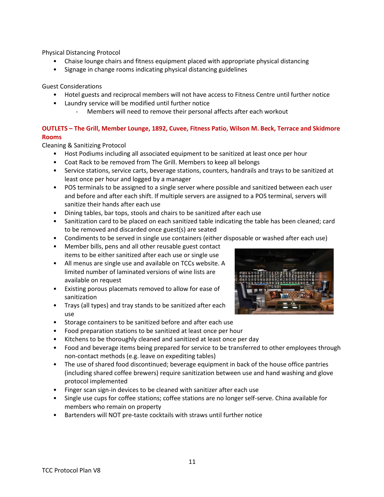- Chaise lounge chairs and fitness equipment placed with appropriate physical distancing
- Signage in change rooms indicating physical distancing guidelines

Guest Considerations

- Hotel guests and reciprocal members will not have access to Fitness Centre until further notice
- Laundry service will be modified until further notice
	- Members will need to remove their personal affects after each workout

# **OUTLETS – The Grill, Member Lounge, 1892, Cuvee, Fitness Patio, Wilson M. Beck, Terrace and Skidmore Rooms**

- Host Podiums including all associated equipment to be sanitized at least once per hour
- Coat Rack to be removed from The Grill. Members to keep all belongs
- Service stations, service carts, beverage stations, counters, handrails and trays to be sanitized at least once per hour and logged by a manager
- POS terminals to be assigned to a single server where possible and sanitized between each user and before and after each shift. If multiple servers are assigned to a POS terminal, servers will sanitize their hands after each use
- Dining tables, bar tops, stools and chairs to be sanitized after each use
- Sanitization card to be placed on each sanitized table indicating the table has been cleaned; card to be removed and discarded once guest(s) are seated
- Condiments to be served in single use containers (either disposable or washed after each use)
- Member bills, pens and all other reusable guest contact items to be either sanitized after each use or single use
- All menus are single use and available on TCCs website. A limited number of laminated versions of wine lists are available on request
- Existing porous placemats removed to allow for ease of sanitization
- Trays (all types) and tray stands to be sanitized after each use
- Storage containers to be sanitized before and after each use
- Food preparation stations to be sanitized at least once per hour
- Kitchens to be thoroughly cleaned and sanitized at least once per day
- Food and beverage items being prepared for service to be transferred to other employees through non-contact methods (e.g. leave on expediting tables)
- The use of shared food discontinued; beverage equipment in back of the house office pantries (including shared coffee brewers) require sanitization between use and hand washing and glove protocol implemented
- Finger scan sign-in devices to be cleaned with sanitizer after each use
- Single use cups for coffee stations; coffee stations are no longer self-serve. China available for members who remain on property
- Bartenders will NOT pre-taste cocktails with straws until further notice

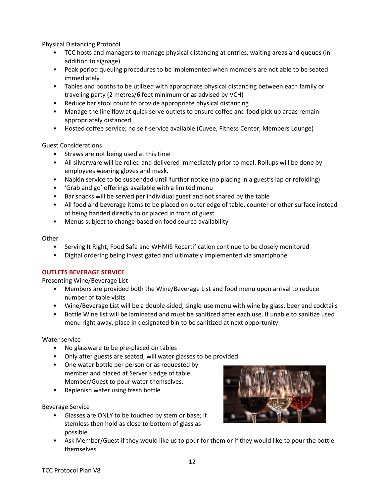- TCC hosts and managers to manage physical distancing at entries, waiting areas and queues (in addition to signage)
- Peak period queuing procedures to be implemented when members are not able to be seated immediately
- Tables and booths to be utilized with appropriate physical distancing between each family or traveling party (2 metres/6 feet minimum or as advised by VCH)
- Reduce bar stool count to provide appropriate physical distancing
- Manage the line flow at quick serve outlets to ensure coffee and food pick up areas remain appropriately distanced
- Hosted coffee service; no self-service available (Cuvee, Fitness Center, Members Lounge)

Guest Considerations

- Straws are not being used at this time
- All silverware will be rolled and delivered immediately prior to meal. Rollups will be done by employees wearing gloves and mask**.**
- Napkin service to be suspended until further notice (no placing in a guest's lap or refolding)
- 'Grab and go' offerings available with a limited menu
- Bar snacks will be served per individual guest and not shared by the table
- All food and beverage items to be placed on outer edge of table, counter or other surface instead of being handed directly to or placed in front of guest
- Menus subject to change based on food source availability

#### **Other**

- Serving It Right, Food Safe and WHMIS Recertification continue to be closely monitored
- Digital ordering being investigated and ultimately implemented via smartphone

# **OUTLETS BEVERAGE SERVICE**

Presenting Wine/Beverage List

- Members are provided both the Wine/Beverage List and food menu upon arrival to reduce number of table visits
- Wine/Beverage List will be a double-sided, single-use menu with wine by glass, beer and cocktails
- Bottle Wine list will be laminated and must be sanitized after each use. If unable to sanitize used menu right away, place in designated bin to be sanitized at next opportunity.

#### Water service

- No glassware to be pre-placed on tables
- Only after guests are seated, will water glasses to be provided
- One water bottle per person or as requested by member and placed at Server's edge of table. Member/Guest to pour water themselves.
- Replenish water using fresh bottle

#### Beverage Service

• Glasses are ONLY to be touched by stem or base; if stemless then hold as close to bottom of glass as possible



• Ask Member/Guest if they would like us to pour for them or if they would like to pour the bottle themselves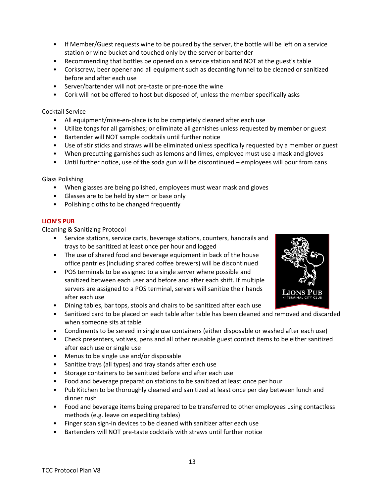- If Member/Guest requests wine to be poured by the server, the bottle will be left on a service station or wine bucket and touched only by the server or bartender
- Recommending that bottles be opened on a service station and NOT at the guest's table
- Corkscrew, beer opener and all equipment such as decanting funnel to be cleaned or sanitized before and after each use
- Server/bartender will not pre-taste or pre-nose the wine
- Cork will not be offered to host but disposed of, unless the member specifically asks

#### Cocktail Service

- All equipment/mise-en-place is to be completely cleaned after each use
- Utilize tongs for all garnishes; or eliminate all garnishes unless requested by member or guest
- Bartender will NOT sample cocktails until further notice
- Use of stir sticks and straws will be eliminated unless specifically requested by a member or guest
- When precutting garnishes such as lemons and limes, employee must use a mask and gloves
- Until further notice, use of the soda gun will be discontinued employees will pour from cans

#### Glass Polishing

- When glasses are being polished, employees must wear mask and gloves
- Glasses are to be held by stem or base only
- Polishing cloths to be changed frequently

#### **LION'S PUB**

- Service stations, service carts, beverage stations, counters, handrails and trays to be sanitized at least once per hour and logged
- The use of shared food and beverage equipment in back of the house office pantries (including shared coffee brewers) will be discontinued
- POS terminals to be assigned to a single server where possible and sanitized between each user and before and after each shift. If multiple servers are assigned to a POS terminal, servers will sanitize their hands after each use
- Dining tables, bar tops, stools and chairs to be sanitized after each use
- Sanitized card to be placed on each table after table has been cleaned and removed and discarded when someone sits at table
- Condiments to be served in single use containers (either disposable or washed after each use)
- Check presenters, votives, pens and all other reusable guest contact items to be either sanitized after each use or single use
- Menus to be single use and/or disposable
- Sanitize trays (all types) and tray stands after each use
- Storage containers to be sanitized before and after each use
- Food and beverage preparation stations to be sanitized at least once per hour
- Pub Kitchen to be thoroughly cleaned and sanitized at least once per day between lunch and dinner rush
- Food and beverage items being prepared to be transferred to other employees using contactless methods (e.g. leave on expediting tables)
- Finger scan sign-in devices to be cleaned with sanitizer after each use
- Bartenders will NOT pre-taste cocktails with straws until further notice

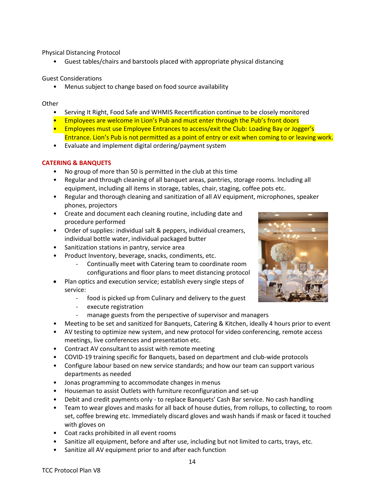• Guest tables/chairs and barstools placed with appropriate physical distancing

#### Guest Considerations

• Menus subject to change based on food source availability

#### **Other**

- Serving It Right, Food Safe and WHMIS Recertification continue to be closely monitored
- Employees are welcome in Lion's Pub and must enter through the Pub's front doors
- Employees must use Employee Entrances to access/exit the Club: Loading Bay or Jogger's Entrance. Lion's Pub is not permitted as a point of entry or exit when coming to or leaving work.
- Evaluate and implement digital ordering/payment system

# **CATERING & BANQUETS**

- No group of more than 50 is permitted in the club at this time
- Regular and through cleaning of all banquet areas, pantries, storage rooms. Including all equipment, including all items in storage, tables, chair, staging, coffee pots etc.
- Regular and thorough cleaning and sanitization of all AV equipment, microphones, speaker phones, projectors
- Create and document each cleaning routine, including date and procedure performed
- Order of supplies: individual salt & peppers, individual creamers, individual bottle water, individual packaged butter
- Sanitization stations in pantry, service area
- Product Inventory, beverage, snacks, condiments, etc.
	- Continually meet with Catering team to coordinate room configurations and floor plans to meet distancing protocol
- Plan optics and execution service; establish every single steps of service:
	- food is picked up from Culinary and delivery to the guest
	- execute registration
	- manage guests from the perspective of supervisor and managers
- Meeting to be set and sanitized for Banquets, Catering & Kitchen, ideally 4 hours prior to event
- AV testing to optimize new system, and new protocol for video conferencing, remote access meetings, live conferences and presentation etc.
- Contract AV consultant to assist with remote meeting
- COVID-19 training specific for Banquets, based on department and club-wide protocols
- Configure labour based on new service standards; and how our team can support various departments as needed
- Jonas programming to accommodate changes in menus
- Houseman to assist Outlets with furniture reconfiguration and set-up
- Debit and credit payments only to replace Banquets' Cash Bar service. No cash handling
- Team to wear gloves and masks for all back of house duties, from rollups, to collecting, to room set, coffee brewing etc. Immediately discard gloves and wash hands if mask or faced it touched with gloves on
- Coat racks prohibited in all event rooms
- Sanitize all equipment, before and after use, including but not limited to carts, trays, etc.
- Sanitize all AV equipment prior to and after each function

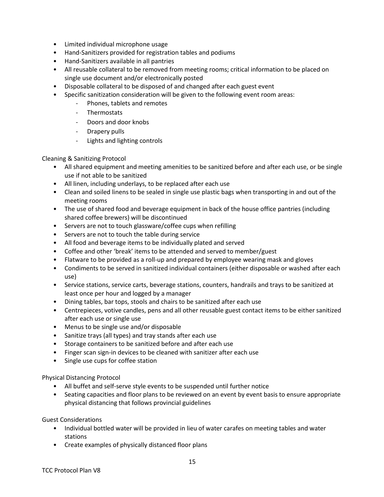- Limited individual microphone usage
- Hand-Sanitizers provided for registration tables and podiums
- Hand-Sanitizers available in all pantries
- All reusable collateral to be removed from meeting rooms; critical information to be placed on single use document and/or electronically posted
- Disposable collateral to be disposed of and changed after each guest event
- Specific sanitization consideration will be given to the following event room areas:
	- Phones, tablets and remotes
	- **Thermostats**
	- Doors and door knobs
	- Drapery pulls
	- Lights and lighting controls

Cleaning & Sanitizing Protocol

- All shared equipment and meeting amenities to be sanitized before and after each use, or be single use if not able to be sanitized
- All linen, including underlays, to be replaced after each use
- Clean and soiled linens to be sealed in single use plastic bags when transporting in and out of the meeting rooms
- The use of shared food and beverage equipment in back of the house office pantries (including shared coffee brewers) will be discontinued
- Servers are not to touch glassware/coffee cups when refilling
- Servers are not to touch the table during service
- All food and beverage items to be individually plated and served
- Coffee and other 'break' items to be attended and served to member/guest
- Flatware to be provided as a roll-up and prepared by employee wearing mask and gloves
- Condiments to be served in sanitized individual containers (either disposable or washed after each use)
- Service stations, service carts, beverage stations, counters, handrails and trays to be sanitized at least once per hour and logged by a manager
- Dining tables, bar tops, stools and chairs to be sanitized after each use
- Centrepieces, votive candles, pens and all other reusable guest contact items to be either sanitized after each use or single use
- Menus to be single use and/or disposable
- Sanitize trays (all types) and tray stands after each use
- Storage containers to be sanitized before and after each use
- Finger scan sign-in devices to be cleaned with sanitizer after each use
- Single use cups for coffee station

Physical Distancing Protocol

- All buffet and self-serve style events to be suspended until further notice
- Seating capacities and floor plans to be reviewed on an event by event basis to ensure appropriate physical distancing that follows provincial guidelines

Guest Considerations

- Individual bottled water will be provided in lieu of water carafes on meeting tables and water stations
- Create examples of physically distanced floor plans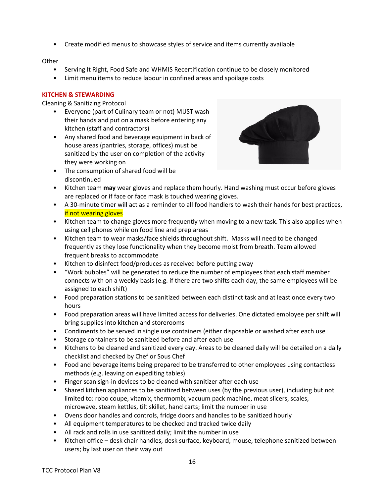• Create modified menus to showcase styles of service and items currently available

#### **Other**

- Serving It Right, Food Safe and WHMIS Recertification continue to be closely monitored
- Limit menu items to reduce labour in confined areas and spoilage costs

#### **KITCHEN & STEWARDING**

- Everyone (part of Culinary team or not) MUST wash their hands and put on a mask before entering any kitchen (staff and contractors)
- Any shared food and beverage equipment in back of house areas (pantries, storage, offices) must be sanitized by the user on completion of the activity they were working on



- The consumption of shared food will be discontinued
- Kitchen team **may** wear gloves and replace them hourly. Hand washing must occur before gloves are replaced or if face or face mask is touched wearing gloves.
- A 30-minute timer will act as a reminder to all food handlers to wash their hands for best practices, if not wearing gloves
- Kitchen team to change gloves more frequently when moving to a new task. This also applies when using cell phones while on food line and prep areas
- Kitchen team to wear masks/face shields throughout shift. Masks will need to be changed frequently as they lose functionality when they become moist from breath. Team allowed frequent breaks to accommodate
- Kitchen to disinfect food/produces as received before putting away
- "Work bubbles" will be generated to reduce the number of employees that each staff member connects with on a weekly basis (e.g. if there are two shifts each day, the same employees will be assigned to each shift)
- Food preparation stations to be sanitized between each distinct task and at least once every two hours
- Food preparation areas will have limited access for deliveries. One dictated employee per shift will bring supplies into kitchen and storerooms
- Condiments to be served in single use containers (either disposable or washed after each use
- Storage containers to be sanitized before and after each use
- Kitchens to be cleaned and sanitized every day. Areas to be cleaned daily will be detailed on a daily checklist and checked by Chef or Sous Chef
- Food and beverage items being prepared to be transferred to other employees using contactless methods (e.g. leaving on expediting tables)
- Finger scan sign-in devices to be cleaned with sanitizer after each use
- Shared kitchen appliances to be sanitized between uses (by the previous user), including but not limited to: robo coupe, vitamix, thermomix, vacuum pack machine, meat slicers, scales, microwave, steam kettles, tilt skillet, hand carts; limit the number in use
- Ovens door handles and controls, fridge doors and handles to be sanitized hourly
- All equipment temperatures to be checked and tracked twice daily
- All rack and rolls in use sanitized daily; limit the number in use
- Kitchen office desk chair handles, desk surface, keyboard, mouse, telephone sanitized between users; by last user on their way out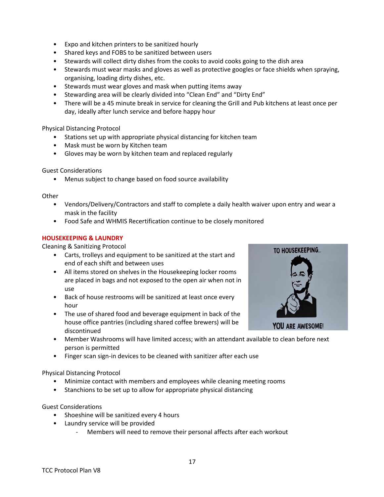- Expo and kitchen printers to be sanitized hourly
- Shared keys and FOBS to be sanitized between users
- Stewards will collect dirty dishes from the cooks to avoid cooks going to the dish area
- Stewards must wear masks and gloves as well as protective googles or face shields when spraying, organising, loading dirty dishes, etc.
- Stewards must wear gloves and mask when putting items away
- Stewarding area will be clearly divided into "Clean End" and "Dirty End"
- There will be a 45 minute break in service for cleaning the Grill and Pub kitchens at least once per day, ideally after lunch service and before happy hour

- Stations set up with appropriate physical distancing for kitchen team
- Mask must be worn by Kitchen team
- Gloves may be worn by kitchen team and replaced regularly

#### Guest Considerations

• Menus subject to change based on food source availability

#### **Other**

- Vendors/Delivery/Contractors and staff to complete a daily health waiver upon entry and wear a mask in the facility
- Food Safe and WHMIS Recertification continue to be closely monitored

#### **HOUSEKEEPING & LAUNDRY**

Cleaning & Sanitizing Protocol

- Carts, trolleys and equipment to be sanitized at the start and end of each shift and between uses
- All items stored on shelves in the Housekeeping locker rooms are placed in bags and not exposed to the open air when not in use
- Back of house restrooms will be sanitized at least once every hour
- The use of shared food and beverage equipment in back of the house office pantries (including shared coffee brewers) will be discontinued



- Member Washrooms will have limited access; with an attendant available to clean before next person is permitted
- Finger scan sign-in devices to be cleaned with sanitizer after each use

#### Physical Distancing Protocol

- Minimize contact with members and employees while cleaning meeting rooms
- Stanchions to be set up to allow for appropriate physical distancing

#### Guest Considerations

- Shoeshine will be sanitized every 4 hours
- Laundry service will be provided
	- Members will need to remove their personal affects after each workout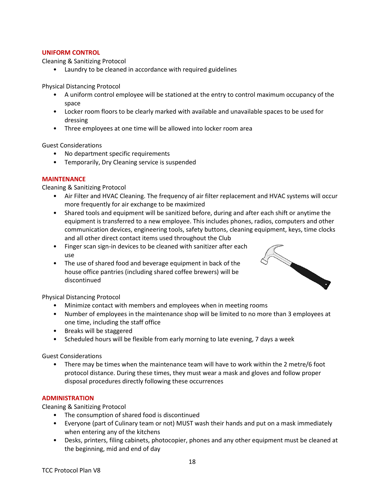#### **UNIFORM CONTROL**

Cleaning & Sanitizing Protocol

• Laundry to be cleaned in accordance with required guidelines

Physical Distancing Protocol

- A uniform control employee will be stationed at the entry to control maximum occupancy of the space
- Locker room floors to be clearly marked with available and unavailable spaces to be used for dressing
- Three employees at one time will be allowed into locker room area

Guest Considerations

- No department specific requirements
- Temporarily, Dry Cleaning service is suspended

## **MAINTENANCE**

Cleaning & Sanitizing Protocol

- Air Filter and HVAC Cleaning. The frequency of air filter replacement and HVAC systems will occur more frequently for air exchange to be maximized
- Shared tools and equipment will be sanitized before, during and after each shift or anytime the equipment is transferred to a new employee. This includes phones, radios, computers and other communication devices, engineering tools, safety buttons, cleaning equipment, keys, time clocks and all other direct contact items used throughout the Club
- Finger scan sign-in devices to be cleaned with sanitizer after each use
- The use of shared food and beverage equipment in back of the house office pantries (including shared coffee brewers) will be discontinued



Physical Distancing Protocol

- Minimize contact with members and employees when in meeting rooms
- Number of employees in the maintenance shop will be limited to no more than 3 employees at one time, including the staff office
- Breaks will be staggered
- Scheduled hours will be flexible from early morning to late evening, 7 days a week

Guest Considerations

• There may be times when the maintenance team will have to work within the 2 metre/6 foot protocol distance. During these times, they must wear a mask and gloves and follow proper disposal procedures directly following these occurrences

# **ADMINISTRATION**

- The consumption of shared food is discontinued
- Everyone (part of Culinary team or not) MUST wash their hands and put on a mask immediately when entering any of the kitchens
- Desks, printers, filing cabinets, photocopier, phones and any other equipment must be cleaned at the beginning, mid and end of day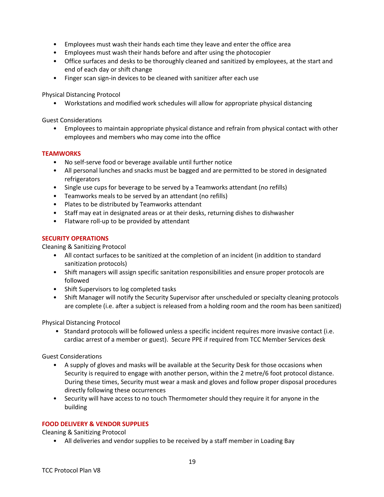- Employees must wash their hands each time they leave and enter the office area
- Employees must wash their hands before and after using the photocopier
- Office surfaces and desks to be thoroughly cleaned and sanitized by employees, at the start and end of each day or shift change
- Finger scan sign-in devices to be cleaned with sanitizer after each use

• Workstations and modified work schedules will allow for appropriate physical distancing

Guest Considerations

• Employees to maintain appropriate physical distance and refrain from physical contact with other employees and members who may come into the office

#### **TEAMWORKS**

- No self-serve food or beverage available until further notice
- All personal lunches and snacks must be bagged and are permitted to be stored in designated refrigerators
- Single use cups for beverage to be served by a Teamworks attendant (no refills)
- Teamworks meals to be served by an attendant (no refills)
- Plates to be distributed by Teamworks attendant
- Staff may eat in designated areas or at their desks, returning dishes to dishwasher
- Flatware roll-up to be provided by attendant

#### **SECURITY OPERATIONS**

Cleaning & Sanitizing Protocol

- All contact surfaces to be sanitized at the completion of an incident (in addition to standard sanitization protocols)
- Shift managers will assign specific sanitation responsibilities and ensure proper protocols are followed
- Shift Supervisors to log completed tasks
- Shift Manager will notify the Security Supervisor after unscheduled or specialty cleaning protocols are complete (i.e. after a subject is released from a holding room and the room has been sanitized)

Physical Distancing Protocol

• Standard protocols will be followed unless a specific incident requires more invasive contact (i.e. cardiac arrest of a member or guest). Secure PPE if required from TCC Member Services desk

Guest Considerations

- A supply of gloves and masks will be available at the Security Desk for those occasions when Security is required to engage with another person, within the 2 metre/6 foot protocol distance. During these times, Security must wear a mask and gloves and follow proper disposal procedures directly following these occurrences
- Security will have access to no touch Thermometer should they require it for anyone in the building

#### **FOOD DELIVERY & VENDOR SUPPLIES**

Cleaning & Sanitizing Protocol

• All deliveries and vendor supplies to be received by a staff member in Loading Bay